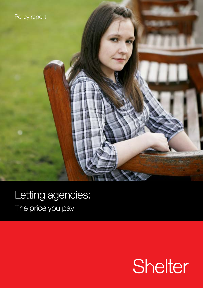

# Letting agencies: The price you pay

# Shelter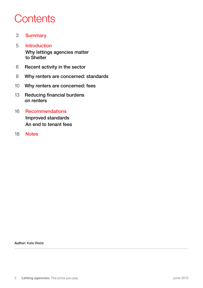# **Contents**

- 3 [Summary](#page-2-0)
- 5 [Introduction](#page-4-0)  [Why lettings agencies matter](#page-4-0)  [to Shelter](#page-4-0)
- 6 [Recent activity in the sector](#page-5-0)
- 8 [Why renters are concerned: standards](#page-7-0)
- 10 [Why renters are concerned: fees](#page-9-0)
- 13 [Reducing financial burdens](#page-12-0)  [on renters](#page-12-0)
- 16 [Recommendations](#page-15-0)  [Improved standards](#page-15-0)  [An end to tenant fees](#page-16-0)
- 18 [Notes](#page-17-0)

Author: Kate Webb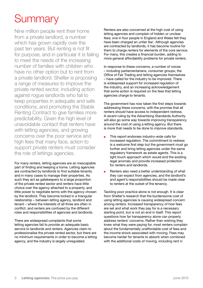# <span id="page-2-0"></span>**Summary**

Nine million people rent their home from a private landlord, a number which has grown rapidly over the past ten years. But renting is not fit for purpose, and in particular it is failing to meet the needs of the increasing number of families with children who have no other option but to rent from a private landlord. Shelter is proposing a range of measures to improve the private rented sector, including action against rogue landlords who fail to keep properties in adequate and safe conditions, and promoting the Stable Renting Contract to give families more predictability. Given the high level of unavoidable contact that renters have with letting agencies, and growing concerns over the poor service and high fees that many face, action to support private renters must consider the role of lettings agencies.

For many renters, letting agencies are an inescapable part of finding and keeping a home. Letting agencies are contracted by landlords to find suitable tenants, and in many cases to manage their properties. As such they act as gatekeepers to a large proportion of the private rented sector and renters have little choice over the agency attached to a property, and little power to negotiate terms with the agency chosen by the landlord. They become locked in a triangular relationship – between letting agency, landlord and tenant – where the interests of all three are often in conflict, and renters are confused by the different roles and responsibilities of agencies and landlords.

There are widespread complaints that some letting agencies fail to provide an adequate basic service to landlords and renters. Agencies claim to professionalise the private rented sector, but there are no minimum requirements in order to become a letting agency, and the industry is largely unregulated.

Renters are also concerned at the high cost of using letting agencies and complain of hidden or unclear fees; one in four people in England and Wales felt they have been charged an unfair fee<sup>1</sup>. Although agencies are contracted by landlords, it has become routine for them to charge renters for elements of the core service. For many, this creates a financial burden, adding to more general affordability problems for private renters.

In response to these concerns, a number of voices – including parliamentarians, consumer groups, the Office of Fair Trading and letting agencies themselves – have called for the industry to be improved. There is widespread support for increased regulation of the industry, and an increasing acknowledgement that some action is required on the fees that letting agencies charge to tenants.

The government has now taken the first steps towards addressing these concerns, with the promise that all renters should have access to independent redress. A recent ruling by the Advertising Standards Authority will also go some way towards improving transparency around the cost of using a letting agency. But there is more that needs to be done to improve standards.

- This report endorses industry-wide calls for increased regulation. The commitment to redress is a welcome first step but the government must go further and bring letting agencies under the same regulatory framework as estate agents. This is a light touch approach which would end the existing legal anomaly and provide increased protection for renters and landlords.
- Renters also need a better understanding of what they can expect from agencies, and the landlord's and agent's responsibilities should be made clear to renters at the outset of the tenancy.

Tackling poor practice alone is not enough. It is clear from Shelter's research that the burdensome cost of using letting agencies is causing widespread concern among renters. Increased transparency of how fees are set and what work they pay for is a necessary starting point, but is not an end in itself. This report questions how far transparency alone can properly address renters' concerns. Rather than wishing they knew what they were paying for, most renters complain about the fundamentally unaffordable cost of fees and the income shock associated with moving. Fees may become harder for tenants to absorb when combined with the additional costs of moving, including rent in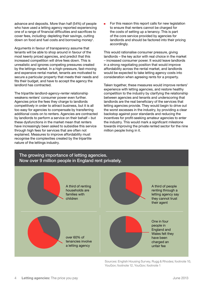advance and deposits. More than half (54%) of people who have used a letting agency reported experiencing one of a range of financial difficulties and sacrifices to cover fees, including: depleting their savings, cutting down on food and fuel costs and borrowing money<sup>2</sup>.

Arguments in favour of transparency assume that tenants will be able to shop around in favour of the most keenly priced agencies, and predict that this increased competition will drive fees down. This is unrealistic and ignores competing pressures created by the lettings market. In a high-pressure, fast-moving and expensive rental market, tenants are motivated to secure a particular property that meets their needs and fits their budget, and have to accept the agency the landlord has contracted.

The tripartite landlord-agency-renter relationship weakens renters' consumer power even further. Agencies price the fees they charge to landlords competitively in order to attract business, but it is all too easy for agencies to compensate by transferring additional costs on to renters. Agencies are contracted by landlords to perform a service on their behalf – but these dysfunctions in the market mean that renters have increasingly been asked to subsidise this service through high fees for services that are often not explained. Measures to improve affordability must recognise the complexities created by the tripartite nature of the lettings industry.

For this reason this report calls for new legislation to ensure that renters cannot be charged for the costs of setting up a tenancy. This is part of the core service provided by agencies for landlords and should be factored into their pricing accordingly.

This would rationalise consumer pressure, giving landlords – the key actor with real choice in the market – increased consumer power. It would leave landlords in a strong negotiating position that would improve affordability across the rental market, and landlords would be expected to take letting agency costs into consideration when agreeing rents for a property.

Taken together, these measures would improve renters' experience with letting agencies, and restore healthy competition to the industry by clarifying the relationship between agencies and tenants and underscoring that landlords are the real beneficiary of the services that letting agencies provide. They would begin to drive out the worst excesses in the industry, by providing a clear backstop against poor standards and reducing the incentives for profit-seeking amateur agencies to enter the industry. This would mark a significant milestone towards improving the private rented sector for the nine million people living in it.

#### The growing importance of letting agencies. Now over 9 million people in England rent privately.



Sources: English Housing Survey, Rugg & Rhodes; footnote 10, YouGov; footnote 12, YouGov; footnote 1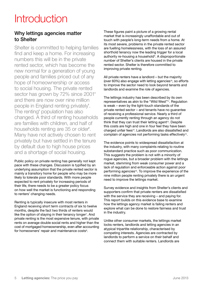# <span id="page-4-0"></span>**Introduction**

# Why lettings agencies matter to Shelter

Shelter is committed to helping families find and keep a home. For increasing numbers this will be in the private rented sector, which has become the new normal for a generation of young people and families priced out of any hope of homeownership or access to social housing. The private rented sector has grown by 72% since 2001<sup>3</sup> and there are now over nine million people in England renting privately<sup>4</sup>. The renting<sup>®</sup> population has also changed. A third of renting households are families with children, and half of households renting are 35 or older<sup>e</sup>. Many have not actively chosen to rent privately but have settled in the tenure by default due to high house prices and a shortage of social housing.

Public policy on private renting has generally not kept pace with these changes. Discussion is typified by an underlying assumption that the private rented sector is mainly a transitory home for people who may be more likely to tolerate poor standards. With more people expected to rent privately for increasing periods of their life, there needs to be a greater policy focus on how well the market is functioning and responding to renters' changing needs.

Renting is typically insecure with most renters in England receiving short term contracts of six to twelve months, despite the fact two thirds of renters would like the option of staying in their tenancy longer<sup>7</sup>. And private renting is the most expensive tenure, with private rents on average double social rents and higher than the cost of mortgaged homeownership, even after accounting for homeowners' repair and maintenance costs<sup>8</sup>.

These figures paint a picture of a growing rental market that is increasingly unaffordable and out of touch with people's long-term needs from a home. At its most severe, problems in the private rented sector are fuelling homelessness, with the loss of an assured shorthold tenancy now the leading trigger for a local authority re-housing a household<sup>9</sup>. A disproportionate number of Shelter's clients are housed in the private rented sector. Shelter is therefore committed to improving private renting.

All private renters have a landlord – but the majority (over  $60\%$ ) also engage with letting agencies<sup>10</sup>, so efforts to improve the sector need to look beyond tenants and landlords and examine the role of agencies.

The lettings industry has been described by its own representatives as akin to the "Wild West"11. Regulation is weak – even by the light-touch standards of the private rented sector – and tenants have no guarantee of receiving a professional service. Nearly a third of people currently renting through an agency do not think that they can trust their letting agent<sup>12</sup>. Despite this costs are high and one in four feel they have been charged unfair fees13. Landlords are also dissatisfied and complain of agencies not performing tasks effectively<sup>14</sup>.

The evidence points to widespread dissatisfaction at the industry, with many complaints relating to routine substandard practice such as poor communication. This suggests the problem is not with a minority of rogue agencies, but a broader problem with the lettings market, stemming from weak consumer power and a lack of regulation and enforceable action against poor performing agencies<sup>15</sup>. To improve the experience of the nine million people renting privately there is an urgent need to improve the lettings market.

Survey evidence and insights from Shelter's clients and supporters confirm that private renters are dissatisfied with the service they are receiving – and paying for. This report builds on this evidence base to examine how the lettings agency market is failing renters and explore what can be done to restore fairness and trust in the industry.

Unlike other consumer markets, the lettings market locks renters, landlords and letting agencies in an atypical tripartite relationship, characterised by competing interests. Agencies are contracted by landlords to perform a service on their behalf and connect them with suitable renters. Landlords are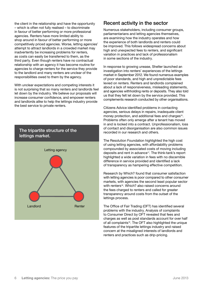<span id="page-5-0"></span>the client in the relationship and have the opportunity – which is often not fully realised – to discriminate in favour of better performing or more professional agencies. Renters have more limited ability to shop around in favour of better performing or more competitively priced agencies. Worse, letting agencies' attempt to attract landlords in a crowded market may inadvertently be increasing problems for renters, as costs can easily be transferred to them, as the third party. Even though renters have no contractual relationship with an agency it has become routine for agencies to charge renters for the service they provide to the landlord and many renters are unclear of the responsibilities owed to them by the agency.

With unclear expectations and competing interests it is not surprising that so many renters and landlords feel let down by the industry. We believe our proposals will increase consumer confidence, and empower renters and landlords alike to help the lettings industry provide the best service to private renters.





### Recent activity in the sector

Numerous stakeholders, including consumer groups, parliamentarians and letting agencies themselves, are examining how the industry operates and how the experience of both landlords and renters could be improved. This follows widespread concerns about high and unexpected fees to renters, and significant variation in practices and lack of professionalism in some sections of the industry.

In response to growing unease, Shelter launched an investigation into renters' experiences of the lettings market in September 2012. We found numerous examples of poor standards, and high and unpredictable fees levied on renters. Renters and landlords complained about a lack of responsiveness, misleading statements, and agencies withholding rents or deposits. They also told us that they felt let down by the service provided. This complements research conducted by other organisations.

Citizens Advice identified problems in contacting agencies, serious delays in repairs, inadequate client money protection, and additional fees and charges<sup>16</sup>. Problems often only emerge after a tenant has moved in and is locked into a contract. Unprofessionalism, loss of contact and disorganisation are also common issues recorded in our research and others.

The Resolution Foundation highlighted the high cost of using letting agencies, with affordability problems compounded by associated costs of moving including deposits and rent in advance17. The think-tank's report highlighted a wide variation in fees with no discernible difference in service provided and identified a lack of transparency as hampering effective competition.

Research by Which? found that consumer satisfaction with letting agencies is poor compared to other consumer markets, with agencies the second least popular sector with renters<sup>18</sup>. Which? also raised concerns around the fees charged to renters and called for greater transparency around costs from the outset of the lettings process.

The Office of Fair Trading (OFT) has identified several problems with the industry. Analysis of complaints to Consumer Direct by OFT revealed that fees and charges as well as post standards account for over half of all complaints<sup>19</sup>. The OFT also highlighted the unique features of the tripartite lettings industry and raised concern at the misaligned interests of landlords and renters and practices such as drip-pricing.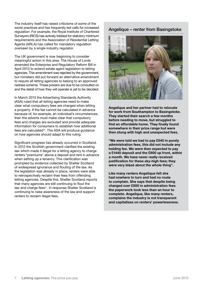The industry itself has raised criticisms of some of the worst practices and has frequently led calls for increased regulation. For example, the Royal Institute of Chartered Surveyors (RICS) has actively lobbied for statutory minimum requirements and the Association of Residential Letting Agents (ARLA) has called for mandatory regulation overseen by a single industry regulator.

The UK government is now beginning to consider meaningful action in this area. The House of Lords amended the Enterprise and Regulatory Reform Bill in April 2013 to extend estate agent legislation to letting agencies. This amendment was rejected by the government, but ministers did put forward an alternative amendment to require all letting agencies to belong to an approved redress scheme. These powers are due to be consulted on and the detail of how they will operate is yet to be decided.

In March 2013 the Advertising Standards Authority (ASA) ruled that all letting agencies need to make clear what compulsory fees are charged when letting a property. If the fee cannot be calculated in advance because of, for example, an individual's circumstances, then the adverts must make clear that compulsory fees and charges are excluded and provide adequate information for consumers to establish how additional fees are calculated<sup>20</sup>. The ASA will produce quidance on how agencies should adapt to this ruling.

Significant progress has already occurred in Scotland. In 2012 the Scottish government clarified the existing law which made it illegal for a letting agency to charge renters "premiums" above a deposit and rent in advance when setting up a tenancy. This clarification was prompted by evidence collected by Shelter Scotland of widespread ignorance and flouting of the law. As the legislation was already in place, renters were able to retrospectively reclaim their fees from offending letting agencies. Despite this, Shelter Scotland reports that many agencies are still continuing to flout the law and charge fees<sup>21</sup>. In response Shelter Scotland is continuing to raise awareness of the law and support renters to reclaim illegal fees.

### Angelique – renter from Basingstoke



Angelique and her partner had to relocate for work from Southampton to Basingstoke. They started their search a few months before needing to move, but struggled to find an affordable home. They finally found somewhere in their price range but were then stung with high and unexpected fees.

"We were told we had to pay £540 in purely administration fees, this did not include any holding fee. We were then expected to pay a £1440 deposit and the £900 up front, within a month. We have never really received justification for these sky-high fees; they were very blasé about the whole thing".

Like many renters Angelique felt she had nowhere to turn and had no route to complain. She says that despite being charged over £500 in administration fees the paperwork took less than an hour to complete. Angelique, like many renters, complains the industry is not transparent and capitalises on renters' powerlessness.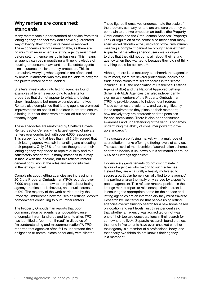# <span id="page-7-0"></span>Why renters are concerned: standards

Many renters face a poor standard of service from their letting agency and feel they don't have a guaranteed way of having their complaints heard or resolved. These concerns are not unreasonable, as there are no minimum requirements a letting agency must meet before setting themselves up in business. This means an agency can begin practising with no knowledge of housing or consumer law, and – unlike estate agents – no insurance or client money protection. This is particularly worrying when agencies are often used by amateur landlords who may not feel able to navigate the private rented sector unaided.

Shelter's investigation into letting agencies found examples of tenants responding to adverts for properties that did not appear to exist, and being shown inadequate but more expensive alternatives. Renters also complained that letting agencies promised improvements on behalf of landlords in order to secure a letting, but that these were not carried out once the tenancy began.

These anecdotes are reinforced by Shelter's Private Rented Sector Census – the largest survey of private renters ever conducted, with over 4,600 responses. This survey found that less than half (40%) agreed that their letting agency was fair in handling and allocating their property. Only 28% of renters thought that their letting agency responded to repairs quickly and to a satisfactory standard<sup>22</sup>. In many instances fault may in fact lie with the landlord, but this reflects renters' general confusion at the roles and responsibilities in the lettings market.

Complaints about letting agencies are increasing. In 2012 the Property Ombudsman (TPO) recorded over 8,000 enquiries about how to complain about letting agency practice and behaviour, an annual increase of 9%. The majority of the work carried out by the Property Ombudsman now focuses on lettings, despite homeowners continuing to outnumber renters.

The Property Ombudsman reports that poor communication by agents is a noticeable cause of complaint from landlords and tenants alike. TPO has identified a "common thread" in disputes of "misunderstanding and miscommunication"24. TPO reported that agencies often fail to understand their obligations or communicate adequately with clients<sup>25</sup>. These figures themselves underestimate the scale of the problem, as many renters are unaware that they can complain to the two ombudsman bodies (the Property Ombudsman and the Ombudsman Services: Property). Lack of regulation of the sector also means that many agencies will fall outside the jurisdiction of the Ombudsman, meaning a complaint cannot be brought against them. A quarter of the letting agency users we surveyed told us that they did not complain about their letting agency when they wanted to because they did not think anything could be achieved<sup>26</sup>.

Although there is no statutory benchmark that agencies must meet, there are several professional bodies and trade associations that set standards in the sector, including RICS, the Association of Residential Lettings Agents (ARLA) and the National Approved Lettings Scheme (NALS). Agencies can also independently sign up as members of the Property Ombudsman (TPO) to provide access to independent redress. These schemes are voluntary, and vary significantly in the requirements they place on their members; how actively they are enforced; and the penalties for non-compliance. There is also poor consumer awareness and understanding of the various schemes, undermining the ability of consumer power to drive up standards<sup>27</sup>.

This creates a confusing market, with a multitude of accreditation marks offering differing levels of service. The exact level of membership of accreditation schemes and trade bodies is unknown but is estimated at around 60% of all lettings agencies $28$ .

Evidence suggests tenants do not discriminate in favour of agencies who belong to such schemes. Instead they are – naturally – heavily motivated to secure a particular home (normally tied to one agency) in a particular area (normally only served by a specific pool of agencies). This reflects renters' position in the lettings market tripartite relationship: their interest is in securing the appropriate home for their needs and letting agencies are an intermediary they must traverse. Research by Shelter found that people using letting agencies overwhelmingly search for a new home based on location and rent levels; just three per cent said that whether an agency was accredited or not was one of their top two considerations in their search for somewhere to live<sup>29</sup>. Separate research found that less than one in five tenants have even checked whether their agency is a member of a professional body, and that nearly two thirds do not know if their agency is a member<sup>30</sup>.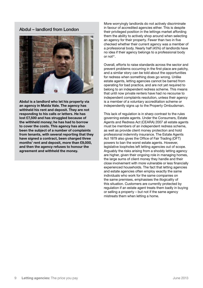Abdul – landlord from London



Abdul is a landlord who let his property via an agency in Maida Vale. The agency has withheld his rent and deposit. They are not responding to his calls or letters. He has lost £7,500 and has struggled because of the withheld money; he has had to borrow to cover the costs. This agency has also been the subject of a number of complaints from tenants, with several reporting that they have signed a contract, been charged three months' rent and deposit, more than £9,000, and then the agency refuses to honour the agreement and withheld the money.

More worryingly landlords do not actively discriminate in favour of accredited agencies either. This is despite their privileged position in the lettings market affording them the ability to actively shop around when selecting an agency for their property. Fewer than two in five checked whether their current agency was a member of a professional body. Nearly half (45%) of landlords have no idea if their agency belongs to a professional body or not<sup>31</sup>.

Overall, efforts to raise standards across the sector and prevent problems occurring in the first place are patchy, and a similar story can be told about the opportunities for redress when something does go wrong. Unlike estate agents, letting agencies cannot be barred from operating for bad practice, and are not yet required to belong to an independent redress scheme. This means that until now private renters have had no recourse to independent complaints resolution, unless their agency is a member of a voluntary accreditation scheme or independently signs up to the Property Ombudsman.

This lack of regulation is in sharp contrast to the rules governing estate agents. Under the Consumers, Estate Agents and Redress Act (CEARA) 2007 all estate agents must be members of an independent redress scheme, as well as provide client money protection and hold professional indemnity insurance. The Estate Agents Act 1979 also gives the Office of Fair Trading (OFT) powers to ban the worst estate agents. However, legislative loopholes left letting agencies out of scope. Arguably the risks arising from a shoddy letting agency are higher, given their ongoing role in managing homes, the large sums of client money they handle and their close involvement with more vulnerable or less financially experienced households. The fact that letting agencies and estate agencies often employ exactly the same individuals who work for the same companies on the same premises, emphasises the illogicality of this situation. Customers are currently protected by regulation if an estate agent treats them badly in buying or selling a property – but not if the same agency mistreats them when letting a home.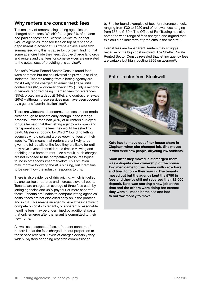## <span id="page-9-0"></span>Why renters are concerned: fees

The majority of renters using letting agencies are charged some fees: Which? found just 3% of tenants had paid no fees<sup>32</sup> and Citizens Advice found that 94% of agencies imposed fees on top of rent and a deposit/rent in advance<sup>33</sup>. Citizens Advice's research summarised why this is cause for concern, finding that some agencies hide their fees, double-charge landlords and renters and that fees for some services are unrelated to the actual cost of providing this service<sup>34</sup>.

Shelter's Private Rented Sector Census found fees were common but not as universal as previous studies indicated. Tenants renting from a letting agency are most likely to be charged an admin fee (70%), initial contract fee (62%), or credit check (52%). Only a minority of tenants reported being charged fees for references (35%), protecting a deposit (14%), and contract renewals (26%) – although these services may have been covered by a generic "administration" fee<sup>35</sup>.

There are widespread concerns that fees are not made clear enough to tenants early enough in the lettings process. Fewer than half (43%) of all renters surveyed for Shelter said that their letting agency was open and transparent about the fees they would be asked to pay36. Mystery shopping by Which? found no letting agencies who displayed a breakdown of fees on their website. This means that renters are unlikely to be given the full details of the fees they are liable for until they have invested considerable time in viewing and deciding on a home to rent<sup>37</sup>. As a result, such charges are not exposed to the competitive pressures typical found in other consumer markets<sup>38</sup>. This situation may improve following the ASA's ruling, but it remains to be seen how the industry responds to this.

There is also evidence of drip pricing, which is fuelled by unclear fee structures and increases overall costs. Tenants are charged an average of three fees each by letting agencies and 38% pay four or more separate fees<sup>39</sup>. Tenants are unable to compare letting agencies' costs if fees are not disclosed early on in the process and in full. This means an agency have little incentive to compete on costs to tenants, or apparently reasonable headline fees may be undermined by additional costs that only emerge after the tenant is committed to their new home.

As well as unexpected fees, a frequent concern of renters is that the fees charged are out proportion to the service received. Levels of charges certainly vary widely. Mystery shopping research commissioned

by Shelter found examples of fees for reference checks ranging from £30 to £220 and of renewal fees ranging from £35 to £15040. The Office of Fair Trading has also noted the wide range of fees charged and argued that this could be indicative of problems in the market<sup>41</sup>.

Even if fees are transparent, renters may struggle because of the high cost involved. The Shelter Private Rented Sector Census revealed that letting agency fees are variable but high, costing £355 on average<sup>42</sup>.

### Kate – renter from Stockwell



Kate had to move out of her house share in Clapham when she changed job. She moved in with three new people, all young law students.

Soon after they moved in it emerged there was a dispute over ownership of the house. Two men came to their home with crow bars and tried to force their way in. The tenants moved out but the agency kept the £750 in fees and they've still not received their £3,000 deposit. Kate was starting a new job at the time and the others were doing bar exams; they were all made homeless and had to borrow money to move.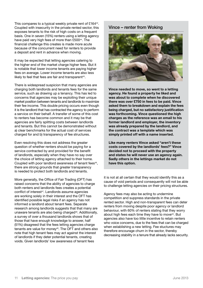This compares to a typical weekly private rent of £16443. Coupled with insecurity in the private rented sector, this exposes tenants to the risk of high costs on a frequent basis. One in seven (15%) renters using a letting agency have paid very high fees of more than £50044. The financial challenge this creates is made more acute because of the concurrent need for renters to provide a deposit and rent in advance when moving.

It may be expected that letting agencies catering to the higher end of the market charge higher fees. But it is notable that lower income tenants are paying higher fees on average. Lower income tenants are also less likely to feel that fees are fair and transparent<sup>45</sup>.

There is widespread suspicion that many agencies are charging both landlords and tenants fees for the same service, such as drawing up a tenancy. This has led to concerns that agencies may be exploiting their unique market position between tenants and landlords to maximize their fee income. This double pricing occurs even though it is the landlord that has contracted the agency to perform a service on their behalf. A transfer of some of this cost to renters has become common and it may be that agencies are fairly splitting costs between landlords and tenants. But this cannot be demonstrated without a) clear benchmarks for the actual cost of services charged for and b) transparency of fee structures.

Even resolving this does not address the greater question of whether renters should be paying for a service contracted by and provided for the benefit of landlords, especially when they have no say over the choice of letting agency attached to their home. Coupled with poor landlord awareness of tenant fees<sup>46</sup>. there are strong grounds that greater transparency is needed to protect both landlords and tenants.

More generally, the Office of Fair Trading (OFT) has raised concerns that the ability of agencies to charge both renters and landlords fees creates a potential conflict of interest<sup>47</sup>. Landlords assume agencies are working solely in their interest and the OFT has identified possible legal risks if an agency has not informed a landlord about tenant fees. Separate research among landlords suggests that that many are unaware tenants are also being charged<sup>48</sup>. Additionally, a survey of over a thousand landlords shows that of those that have enough knowledge to answer, half (51%) disagreed that the fees letting agencies charge tenants are value for money<sup>49</sup>. The OFT and others also note that high tenant fees may act against the interest of landlords if they deter potential tenants, creating voids. Given landlords' low awareness of tenant fees

#### Vince – renter from Woking



Vince needed to move, so went to a letting agency. He found a property he liked and was about to complete when he discovered there was over £750 in fees to be paid. Vince asked them to breakdown and explain the fees being charged, but no satisfactory justification was forthcoming. Vince questioned the high charges as the reference was an email to his former landlord and employer, the inventory was already prepared by the landlord, and the contract was a template which was simply printed off with a name inserted.

Like many renters Vince asked "aren't these costs covered by the landlords' fees?" Vince decided not to proceed with the property and states he will never use an agency again. Sadly others in the lettings market do not have this option.

it is not at all certain that they would identify this as a cause of void periods and consequently will not be able to challenge letting agencies on their pricing structures.

Agency fees may also be acting to undermine competition and suppress standards in the private rented sector. High and non-transparent fees can deter renters from moving despite poor agency or landlord behaviour, with 60% of renters stating that they worry about high fees each time they have to move<sup>50</sup>. But agencies also have too little incentive to retain renters who voice concerns, due to the fees that can be charged when establishing a new letting. Fee stuctures may therefore encourage churn in the sector, thereby decreasing stability in a tenure that already lacks security.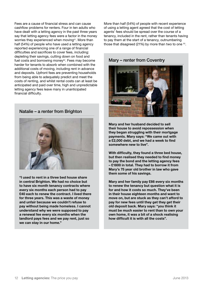Fees are a cause of financial stress and can cause cashflow problems for renters. Four in ten adults who have dealt with a letting agency in the past three years say that letting agency fees were a factor in the money worries they experienced when moving<sup>51</sup>. More than half (54%) of people who have used a letting agency reported experiencing one of a range of financial difficulties and sacrifices to cover fees, including: depleting their savings, cutting down on food and fuel costs and borrowing money<sup>52</sup>. Fees may become harder for tenants to absorb when combined with the additional costs of moving, including rent in advance and deposits. Upfront fees are preventing households from being able to adequately predict and meet the costs of renting, and whilst rental costs can at least be anticipated and paid over time, high and unpredictable letting agency fees leave many in unanticipated financial difficulty.

#### Natalie – a renter from Brighton



"I used to rent in a three bed house share in central Brighton. We had no choice but to have six month tenancy contracts where every six months each person had to pay £40 each to renew the contract. I lived there for three years. This was a waste of money and unfair because we couldn't refuse to pay without being made homeless. I cannot understand why we were supposed to pay a renewal fee every six months when the landlord pays fees and we pay rent, just so we can stay in our home."

More than half (54%) of people with recent experience of using a letting agent agreed that the cost of letting agents' fees should be spread over the course of a tenancy, included in the rent, rather than tenants having to pay them at the start of a tenancy, outnumbering those that disagreed (21%) by more than two to one 53.

#### Mary – renter from Coventry



Mary and her husband decided to sell their house to avoid repossession when they began struggling with their mortgage payments. Mary says: "We came out with a £2,000 debt, and we had a week to find somewhere new to live".

With difficulty, they found a three bed house, but then realised they needed to find money to pay the bond and the letting agency fees – £1800 in total. They had to borrow it from Mary's 75 year old brother in law who gave them some of his savings.

Mary and her family pay £66 every six months to renew the tenancy but question what it is for and how it costs so much. They've been in their house eighteen months and want to move on, but are stuck as they can't afford to pay for new fees until they get they get their old deposit back. Mary says: "you think it must be much easier to rent than to own your own home, it was a bit of a shock realising how difficult it is with all the costs".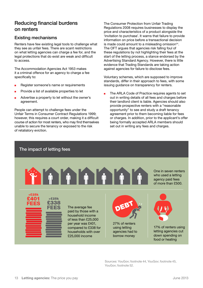# <span id="page-12-0"></span>Reducing financial burdens on renters

### Existing mechanisms

Renters have few existing legal tools to challenge what they see as unfair fees. There are scant restrictions on what letting agencies can charge a fee for, and the legal protections that do exist are weak and difficult to access.

The Accommodation Agencies Act 1953 makes it a criminal offence for an agency to charge a fee specifically to:

- Register someone's name or requirements
- **n** Provide a list of available properties to let
- **n** Advertise a property to let without the owner's agreement.

People can attempt to challenge fees under the Unfair Terms in Consumer Contract Regulations 1999; however, this requires a court order, making it a difficult course of action for most renters, who may find themselves unable to secure the tenancy or exposed to the risk of retaliatory eviction.

> >£25k £338 FEES

The Consumer Protection from Unfair Trading Regulations 2008 requires businesses to display the price and characteristics of a product alongside the 'invitation to purchase'. It warns that failure to provide information on price before a transactional decision is made could amount to a misleading omission<sup>54</sup>. The OFT argues that agencies risk falling foul of these regulations by not highlighting their fees at the start of the letting process, a stance endorsed by the Advertising Standard Agency. However, there is little evidence that Trading Standards are taking action against agencies for failure to disclose fees.

Voluntary schemes, which are supposed to improve standards, differ in their approach to fees, with some issuing guidance on transparency for renters.

The ARLA Code of Practice requires agents to set out in writing details of all fees and charges before their landlord client is liable. Agencies should also provide prospective renters with a "reasonable opportunity" to see and study a draft tenancy agreement prior to them becoming liable for fees or charges. In addition, prior to the applicant's offer being formally accepted ARLA members should set out in writing any fees and charges.

#### The impact of letting fees

<£25k £401 FEES



The average fee paid by those with a household income of less than £25,000 per year was £401, compared to £338 for households with over £25,000 income

One in seven renters who used a letting agency paid fees of more than £500.



27% of renters using letting agencies had to borrow money



17% of renters using letting agencies cut down spending on food or heating

Sources: YouGov; footnote 44, YouGov; footnote 45, YouGov; footnote 52.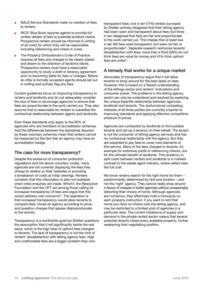- <sup>n</sup> NALS Service Standards make no mention of fees to renters.
- RICS' Blue Book requires agents to provide full written details of fees to potential landlord clients. Prospective renters should be informed in writing of all costs for which they will be responsible, including referencing and check-in costs.
- The Property Ombudsman's Code of Practice requires all fees and charges to be clearly stated and drawn to the attention of landlord clients. Prospective renters must have a reasonable opportunity to study a draft or tenancy agreement prior to becoming liable for fees or charges. Before an offer is formally accepted agents should set out in writing and actively flag any fees.

Current guidelines focus on improving transparency to renters and landlords and do not adequately consider the size of fees or encourage agencies to ensure that fees are proportionate to the work carried out. They also assume that is reasonable for renters to subsidise the contractual relationship between agents and landlords.

Even these standards only apply to the 60% of agencies who are members of accreditation schemes. And the differences between the standards required by these voluntary schemes mean that renters cannot be reassured by the fact that an agency may have an accreditation badge.

### The case for more transparency?

Despite the existence of consumer protection regulations and the above voluntary codes, many agencies are not currently displaying the fees they charge to renters on their websites or providing a breakdown of costs at initial viewings. Renters complain that this information is also not available when initial enquiries are made. Which?, the Resolution Foundation and the OFT are among those calling for increased transparency of fees and argue that this would address cost concerns<sup>55</sup>. The aspiration is that increased transparency would allow tenants to compare fees, chose an agency according to price, and question charges that appear disproportionate to the activity.

Transparency is a worthwhile goal but Shelter questions the assumption that it will significantly tackle the real issue, which is the high level of upfront fees charged to tenants. The lack of transparency is not the limit of renters' dissatisfaction with letting agency fees. High and unaffordable fees are a bigger problem than nontransparent fees; one in ten (11%) renters surveyed by Shelter actively disagreed that their letting agency had been open and transparent about fees, but three in ten disagreed that fees are fair and proportionate to the work carried out. This implies that at least two in ten felt fees were transparent, but were not fair or proportionate<sup>56</sup>. Separate research reinforces tenants' dissatisfaction with fees: more than a third (36%) do not think fees are value for money and 41% think upfront fees are unfair<sup>57</sup>.

### A remedy that works for a unique market

Advocates of transparency argue that it will allow tenants to shop around for the best deals on fees. However, this is based on a flawed understanding of the lettings sector and renters' motivations and consumer power. The problems in the letting agency sector can only be understood and resolved by exploring the unique tripartite relationship between agencies, landlords and tenants. The dysfunctional competing interests of all three parties are currently a barrier to improving standards and applying effective competitive pressure to prices.

Agencies are contracted by landlords to find suitable tenants and set up a tenancy on their behalf. The tenant is not the consumer of letting agency services and has no contractual relationship with the agency. But they are expected to pay fees to cover core elements of this service. Many of the fees charged to tenants, for example for extensive credit or referencing checks, are for the ultimate benefit of landlords. This tendency to split costs between renters and landlords is in marked contrast to the estate agent industry, where sellers bear the full cost.

We know renters search for the right home for them – predominantly determined by rent and location – and not the 'right' agency. They cannot really shop around in favour of cheaper or better agencies without unreasonably distorting their choice of home. Although agencies are numerous, they effectively hold a monopoly on each property instruction: if you want to rent that home you have no choice over the letting agency, and may be restricted to a limited pool of agencies in a particular area. The current imbalance of supply and demand in the private rented sector means that several potential tenants chase every available property, further weakening their negotiating position.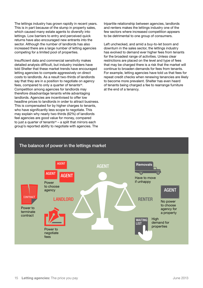The lettings industry has grown rapidly in recent years. This is in part because of the slump in property sales, which caused many estate agents to diversify into lettings. Low barriers to entry and perceived quick returns have also encouraged new entrants into the sector. Although the number of landlords has also increased there are a large number of letting agencies competing for a limited pool of properties.

Insufficient data and commercial sensitivity makes detailed analysis difficult, but industry insiders have told Shelter that these market trends have encouraged letting agencies to compete aggressively on direct costs to landlords. As a result two-thirds of landlords say that they are in a position to negotiate on agency fees, compared to only a quarter of tenants<sup>58</sup>. Competition among agencies for landlords may therefore disadvantage tenants while advantaging landlords. Agencies are incentivised to offer low headline prices to landlords in order to attract business. This is compensated for by higher charges to tenants, who have significantly less scope to negotiate. This may explain why nearly two-thirds (62%) of landlords feel agencies are good value for money, compared to just a quarter of tenants $59 - a$  split that mirrors each group's reported ability to negotiate with agencies. The

tripartite relationship between agencies, landlords and renters makes the lettings industry one of the few sectors where increased competition appears to be detrimental to one group of consumers.

Left unchecked, and amid a buy-to-let boom and downturn in the sales sector, the lettings industry has evolved to demand ever higher fees from tenants for the broadest range of activities. Unless clear restrictions are placed on the level and type of fees that may be charged there is a risk that the market will continue to broaden demands for fees from tenants. For example, letting agencies have told us that fees for repeat credit checks when renewing tenancies are likely to become more prevalent. Shelter has even heard of tenants being charged a fee to rearrange furniture at the end of a tenancy.

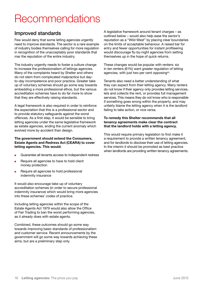# <span id="page-15-0"></span>**Recommendations**

# Improved standards

Few would deny that some letting agencies urgently need to improve standards. The sector is a rare example of industry bodies themselves calling for more regulation in recognition of the unacceptably poor standards that mar the reputation of the entire industry.

The industry urgently needs to foster a culture change to increase the professionalism of lettings agencies. Many of the complaints heard by Shelter and others do not stem from complicated malpractice but dayto-day incompetence and poor practice. Greater take up of voluntary schemes should go some way towards embedding a more professional ethos, but the various accreditation schemes have to do far more to show that they are effectively raising standards.

A legal framework is also required in order to reinforce the expectation that this is a professional sector and to provide statutory safeguards against the worst offences. As a first step, it would be sensible to bring letting agencies under the same legislative framework as estate agencies, ending the current anomaly which evolved more by accident than design.

#### The government should extend the Consumers, Estate Agents and Redress Act (CEARA) to cover letting agencies. This would:

- Guarantee all tenants access to independent redress
- **n** Require all agencies to have to hold client money protection
- **n** Require all agencies to hold professional indemnity insurance

It would also encourage take-up of voluntary accreditation schemes (in order to secure professional indemnity insurance) which would bring more agencies into these schemes' codes of practice.

Including letting agencies within the scope of the Estate Agents Act 1979 would also allow the Office of Fair Trading to ban the worst performing agencies, as it already does with estate agents.

Combined, these outcomes should go some way towards improving basic standards of professionalism and customer service. Recent announcements by the government will go some way towards achieving these aims, but are a preliminary step only.

A legislative framework around tenant charges – as outlined below – would also help ease the sector's reputation as a "Wild West" by placing clear boundaries on the limits of acceptable behaviour. A raised bar for entry and fewer opportunities for instant profiteering would discourage fly-by-night agencies from setting themselves up in the hope of quick returns.

These changes would be popular with renters: six in ten renters (61%) want greater regulation of letting agencies, with just two per cent opposing<sup>60</sup>.

Tenants also need a better understanding of what they can expect from their letting agency. Many renters do not know if their agency only provides letting services, lets and collects the rent, or provides full management services. This means they do not know who is responsible if something goes wrong within the property, and may unfairly blame the letting agency when it is the landlord failing to take action, or vice versa.

#### To remedy this Shelter recommends that all tenancy agreements make clear the contract that the landlord holds with a letting agency.

This would require primary legislation to first make it a requirement to provide a written tenancy agreement, and for landlords to disclose their use of letting agencies. In the interim it should be promoted as best practice when landlords are providing written tenancy agreements.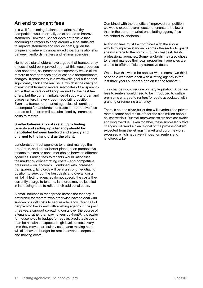# <span id="page-16-0"></span>An end to tenant fees

In a well functioning, balanced market healthy competition would normally be expected to improve standards. However, Shelter does not believe that encouraging renters to shop around will be sufficient to improve standards and reduce costs, given the unique and inherently unbalanced tripartite relationship between landlords, renters and lettings agencies.

Numerous stakeholders have argued that transparency of fees should be improved and that this would address cost concerns, as increased transparency would allow renters to compare fees and question disproportionate charges. Transparency is a worthwhile goal but cannot significantly tackle the real issue, which is the charging of unaffordable fees to renters. Advocates of transparency argue that renters could shop around for the best fee offers, but the current imbalance of supply and demand places renters in a very poor negotiating position. Even in a transparent market agencies will continue to compete for landlords' contracts and attractive fees quoted to landlords will be subsidised by increased costs to renters.

#### Shelter believes all costs relating to finding tenants and setting up a tenancy should be negotiated between landlord and agency and charged to the landlord as the client.

Landlords contract agencies to let and manage their properties, and are far better placed than prospective tenants to exercise consumer choice between different agencies. Ending fees to tenants would rationalise the market by concentrating costs – and competitive pressures – on landlords. Combined with increased transparency, landlords will be in a strong negotiating position to seek out the best deals and overall costs will fall. If letting agencies do not absorb the costs they currently charge to tenants, landlords may be justified in increasing rents to reflect their additional costs.

A small increase in rent spread across the tenancy is preferable for renters, who otherwise have to deal with sudden one-off costs to secure a tenancy. Over half of people who have dealt with a letting agency in the past three years support spreading costs over the course of a tenancy, rather than paying fees up-front<sup>61</sup>. It is easier for households to budget for regular, predictable costs than be hit with unexpected high levels of fees every time they move, particularly as tenants moving home will also have to budget for rent in advance, deposits and moving costs.

Combined with the benefits of improved competition we would expect overall costs to tenants to be lower than in the current market once letting agency fees are shifted to landlords.

Action on fees must be combined with the above efforts to improve standards across the sector to guard against a race to the bottom, to the cheapest, leastprofessional agencies. Some landlords may also chose to let and manage their own properties if agencies are unable to offer sufficiently attractive deals.

We believe this would be popular with renters: two thirds of people who have dealt with a letting agency in the last three years support a ban on fees to tenants<sup>62</sup>.

This change would require primary legislation. A ban on fees to renters would need to be introduced to outlaw premiums charged to renters for costs associated with granting or renewing a tenancy.

There is no one silver bullet that will overhaul the private rented sector and make it fit for the nine million people housed within it. But real improvements are both achievable and long overdue. Taken together, these simple legislative changes will send a clear signal of the professionalism expected from the lettings market and curb the worst excesses which negatively impact on renters and landlords alike.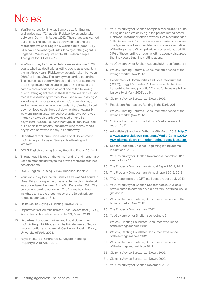# <span id="page-17-0"></span>Notes

- YouGov survey for Shelter. Sample size for England and Wales was 4724 adults. Fieldwork was undertaken between 10th – 14th August 2012. The survey was carried out online. The figures have been weighted and are representative of all English & Welsh adults (aged 18+), 24% have been charged unfair fees by a letting agent in England & Wales, equivalent to 10.6 million people. The figure for GB was 23%.
- 2. YouGov survey for Shelter. Total sample size was 1528 adults who had dealt with a letting agent, as a tenant, in the last three years. Fieldwork was undertaken between 26th April – 1st May. The survey was carried out online. The figures have been weighted and are representative of all English and Welsh adults (aged 18+). 54% of the sample had experienced at least one of the following, due to letting agent fees, in the last three years: It caused me/us stress/money worries; I/we used my/our savings/ ate into savings for a deposit on my/our own home; I/ we borrowed money from friends/family; I/we had to cut down on food costs; I/we cut down on fuel/heating; I/ we went into an unauthorised overdraft; I/we borrowed money on a credit card; I/we missed other bills/ payments; I/we took out another type of loan; I/we took out a short term payday loan (borrowing money for 30 days); I/we borrowed money in another way.
- 3. Department for Communities and Local Government (DCLG) English Housing Survey Headline Report 2011–12.
- 4. DCLG English Housing Survey Headline Report 2011–12.
- 5. Throughout this report the terms 'renting' and 'renter' are used to refer exclusively to the private rented sector, not social tenants.
- 6. DCLG English Housing Survey Headline Report 2011–12.
- 7. YouGov survey for Shelter. Sample size was 541 adults in Great Britain living in the private rented sector. Fieldwork was undertaken between 2nd – 5th December 2011. The survey was carried out online. The figures have been weighted and are representative of the British private rented sector (aged 18+).
- 8. Halifax,2012.Buying vs Renting Review 2012.
- 9. Department of Communities and Local Government (DCLG), live tables on homelessness table 774, March 2013.
- 10. Department of Communities and Local Government (DCLG), Rugg J & Rhodes D 'The Private Rented Sector: its contribution and potential' Centre for Housing Policy, University of York, 2008.
- 11. Royal Institute of Chartered Surveyors, Renting: Property's Wild West, 2012.
- 12. YouGov survey for Shelter. Sample size was 4646 adults in England and Wales living in the private rented sector. Fieldwork was undertaken between 16th November and 10th December 2012. The survey was carried out online. The figures have been weighted and are representative of the English and Welsh private rented sector (aged 18+). 31% of those renting through a letting agency disagreed that they could trust their letting agent.
- 13. YouGov survey for Shelter, August 2012 see footnote 1.
- 14. Which? Renting Roulette, Consumer experience of the lettings market, Nov 2012.
- 15. Department of Communities and Local Government (DCLG), Rugg J & Rhodes D 'The Private Rented Sector: its contribution and potential' Centre for Housing Policy, University of York (2008), pg 64.
- 16. Citizen's Advice Bureau, Let Down, 2009.
- 17. Resolution Foundation, Renting in the Dark, 2011.
- 18. Which? Renting Roulette, Consumer experience of the lettings market (Nov 2012).
- 19. Office of Fair Trading, The Lettings Market an OFT report, 2013.
- 20. Advertising Standards Authority, 6th March 2013: [http://](http://www.asa.org.uk/News-resources/Media-Centre/2013/ASA-clamps-down-on-hidden-letting-agent-fees.aspx) [www.asa.org.uk/News-resources/Media-Centre/2013/](http://www.asa.org.uk/News-resources/Media-Centre/2013/ASA-clamps-down-on-hidden-letting-agent-fees.aspx) [ASA-clamps-down-on-hidden-letting-agent-fees.aspx](http://www.asa.org.uk/News-resources/Media-Centre/2013/ASA-clamps-down-on-hidden-letting-agent-fees.aspx)
- 21. Shelter Scotland, Briefing: Regulating letting agents in Scotland, 2013.
- 22. YouGov survey for Shelter, November/December 2012, see footnote 12.
- 23. The Property Ombudsman, Annual Report 2011, 2012.
- 24. The Property Ombudsman, Annual report 2012, 2013.
- 25. TPO response to the OFT intelligence report, July 2012.
- 26. YouGov survey for Shelter. See footnote 2. 24% said 'I have wanted to complain but didn't think anything would get done'.
- 27. Which? Renting Roulette, Consumer experience of the lettings market, Nov 2012.
- 28. The Property Ombudsman, 2012.
- 29. YouGov survey for Shelter, see footnote 2.
- 30. Which?, Renting Rouellete: Consumer experience of the lettings market, 2012.
- 31. Which?, Renting Rouellete: Consumer experience of the lettings market, 2012.
- 32. Which? Renting Roulette, Consumer experience of the lettings market, Nov 2012.
- 33. Citizen's Advice Bureau, Let Down, 2009.
- 34. Citizen's Advice Bureau, Let Down, 2009.
- 35. YouGov survey for Shelter, November 2012 –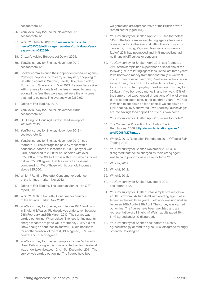see footnote 12.

- 36. YouGov survey for Shelter, November 2012 see footnote 12.
- 37. Which? 5 March 2013: http://www.which.co.uk/ news/2013/03/letting-agents-not-upfront-about-feessays-which-312536/
- 38. Citizen's Advice Bureau, Let Down, 2009.
- 39. YouGov survey for Shelter, November 2012 see footnote 12.
- 40. Shelter commissioned the independent research agency Mystery Shoppers Ltd to carry out mystery shopping of 58 letting agents in Watford, Leeds, Sale, Wimbledon, Rutland and Gravesend in May 2013. Researchers asked letting agents for details of the fees charged to tenants, asking if the fees they were quoted were the only ones that had to be paid. The average was £350.97.
- 41. Office of Fair Trading, 2013.
- 42. YouGov survey for Shelter, November, 2012 see footnote 12.
- 43. CLG, English Housing Survey: Headline report 2011–12, 2013.
- 44. YouGov survey for Shelter, November 2012 see footnote 12.
- 45. YouGov survey for Shelter, November 2012 see footnote 12. The average fee paid by those with a household income of less than £25,000 per year was £401, compared to £338 for households with over £25,000 income. 39% of those with a household income below £25,000 agreed that fees were transparent, compared to 47% of those with household incomes above £25,000.
- 46. Which? Renting Roulette, Consumer experience of the lettings market, Nov 2012.
- 47. Office of Fair Trading, The Lettings Market an OFT report, 2013.
- 48. Which? Renting Roulette, Consumer experience of the lettings market, Nov 2012.
- 49. YouGov survey for Shelter, sample size 1004 landlords in England & Wales. Fieldwork was undertaken between 28th February and 6th March 2013. The survey was carried out online. When asked 'The fees letting agents charge tenants are good value for money', 25% did not know enough about fees to answer, 9% did not know for another reason, of the rest, 19% agreed, 30% were neutral and 51% disagreed.
- 50. YouGov survey for Shelter. Sample size was 541 adults in Great Britain living in the private rented sector. Fieldwork was undertaken between 2nd – 5th December 2011. The survey was carried out online. The figures have been

weighted and are representative of the British private rented sector (aged 18+).

- 51. YouGov survey for Shelter, April 2013 see footnote 2. 14% of the total sample said letting agency fees were 'a major factor' in the financial difficulties or concerns caused by moving, 25% said fees were 'a moderate factor'. 22% had not moved and 14% moved but had no financial difficulties or concerns.
- 52. YouGov survey for Shelter, April 2013, see footnote 2. 27% of the sample had experienced at least one of the following, due to letting agent fees, in the last three years: I/ we borrowed money from friends/ family; I/ we went into an unauthorised overdraft; I/we borrowed money on a credit card; I/ we took out another type of loan; I/ we took out a short term payday loan (borrowing money for 30 days); I/ we borrowed money in another way. 17% of the sample had experienced at least one of the following, due to letting agent fees, in the last three years: 17% had I/ we had to cut down on food costs I/ we cut down on fuel/ heating. 16% answered I/ we used my/ our savings/ ate into savings for a deposit on my/ our own home.
- 53. YouGov survey for Shelter, April 2013 see footnote 2.
- 54. The Consumer Protection from Unfair Trading Regulations, 2008: [http://www.legislation.gov.uk/](http://www.legislation.gov.uk/uksi/2008/1277/made) [uksi/2008/1277/made](http://www.legislation.gov.uk/uksi/2008/1277/made)
- 55. Which?, 2012, Resolution Foundation 2011, Office of Fair Trading 2013.
- 56. YouGov survey for Shelter, November 2012, 30% disagreed that the fee charged by their letting agent was fair and proportionate – see footnote 12.
- 57. Which?, 2012.
- 58. Which?, 2012.
- 59. Which?, 2012.
- 60. YouGov survey for Shelter, November 2012 see footnote 12.
- 61. YouGov survey for Shelter. Total sample size was 1874 adults, of whom 347 had dealt with a letting agent, as a tenant, in the last three years. Fieldwork was undertaken between 26th April – 29th April. The survey was carried out online. The figures have been weighted and are representative of all English & Welsh adults (aged 18+). 54% agreed and 21% disagreed.
- 62. YouGov survey for Shelter, see footnote 61. 66% agreed strongly or tend to agree, 10% disagreed strongly or tended to disagree.